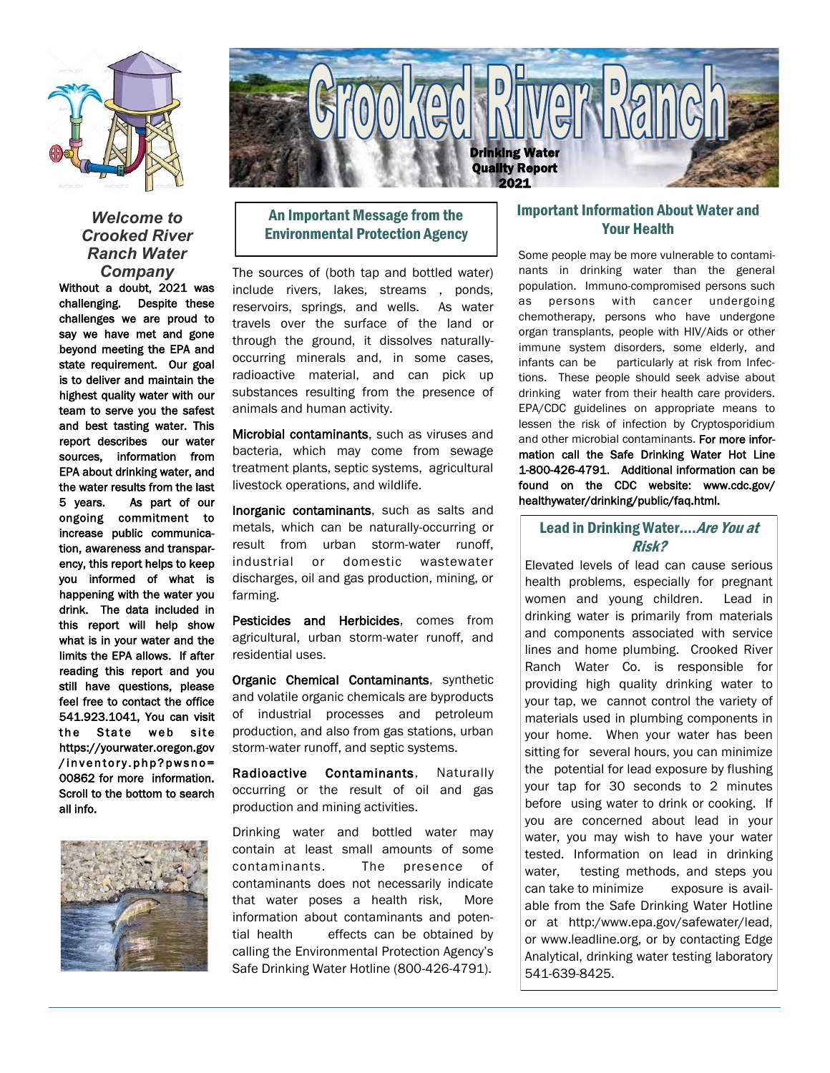

## *Welcome to Crooked River Ranch Water Company*

Without a doubt, 2021 was challenging. Despite these challenges we are proud to say we have met and gone beyond meeting the EPA and state requirement. Our goal is to deliver and maintain the highest quality water with our team to serve you the safest and best tasting water. This report describes our water sources, information from EPA about drinking water, and the water results from the last 5 years. As part of our ongoing commitment to increase public communication, awareness and transparency, this report helps to keep you informed of what is happening with the water you drink. The data included in this report will help show what is in your water and the limits the EPA allows. If after reading this report and you still have questions, please feel free to contact the office 541.923.1041, You can visit the State web site https://yourwater.oregon.gov /inventory.php?pwsno= 00862 for more information. Scroll to the bottom to search all info.





# An Important Message from the Environmental Protection Agency

The sources of (both tap and bottled water) include rivers, lakes, streams , ponds, reservoirs, springs, and wells. As water travels over the surface of the land or through the ground, it dissolves naturallyoccurring minerals and, in some cases, radioactive material, and can pick up substances resulting from the presence of animals and human activity.

Microbial contaminants, such as viruses and bacteria, which may come from sewage treatment plants, septic systems, agricultural livestock operations, and wildlife.

Inorganic contaminants, such as salts and metals, which can be naturally-occurring or result from urban storm-water runoff, industrial or domestic wastewater discharges, oil and gas production, mining, or farming.

Pesticides and Herbicides, comes from agricultural, urban storm-water runoff, and residential uses.

Organic Chemical Contaminants, synthetic and volatile organic chemicals are byproducts of industrial processes and petroleum production, and also from gas stations, urban storm-water runoff, and septic systems.

Radioactive Contaminants, Naturally occurring or the result of oil and gas production and mining activities.

Drinking water and bottled water may contain at least small amounts of some contaminants. The presence of contaminants does not necessarily indicate that water poses a health risk, More information about contaminants and potential health effects can be obtained by calling the Environmental Protection Agency's Safe Drinking Water Hotline (800-426-4791).

## Important Information About Water and Your Health

Some people may be more vulnerable to contaminants in drinking water than the general population. Immuno-compromised persons such as persons with cancer undergoing chemotherapy, persons who have undergone organ transplants, people with HIV/Aids or other immune system disorders, some elderly, and infants can be particularly at risk from Infections. These people should seek advise about drinking water from their health care providers. EPA/CDC guidelines on appropriate means to lessen the risk of infection by Cryptosporidium and other microbial contaminants. For more information call the Safe Drinking Water Hot Line 1-800-426-4791. Additional information can be found on the CDC website: www.cdc.gov/ healthywater/drinking/public/faq.html.

## Lead in Drinking Water.... Are You at Risk?

Elevated levels of lead can cause serious health problems, especially for pregnant women and young children. Lead in drinking water is primarily from materials and components associated with service lines and home plumbing. Crooked River Ranch Water Co. is responsible for providing high quality drinking water to your tap, we cannot control the variety of materials used in plumbing components in your home. When your water has been sitting for several hours, you can minimize the potential for lead exposure by flushing your tap for 30 seconds to 2 minutes before using water to drink or cooking. If you are concerned about lead in your water, you may wish to have your water tested. Information on lead in drinking water, testing methods, and steps you can take to minimize exposure is available from the Safe Drinking Water Hotline or at http:/www.epa.gov/safewater/lead, or www.leadline.org, or by contacting Edge Analytical, drinking water testing laboratory 541-639-8425.